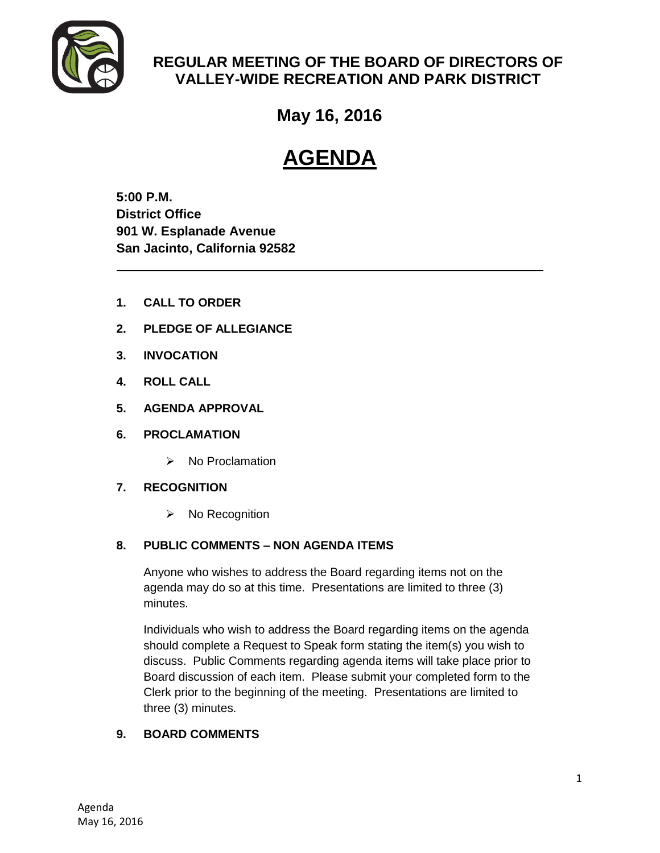

# **REGULAR MEETING OF THE BOARD OF DIRECTORS OF VALLEY-WIDE RECREATION AND PARK DISTRICT**

# **May 16, 2016**

# **AGENDA**

**5:00 P.M. District Office 901 W. Esplanade Avenue San Jacinto, California 92582**

- **1. CALL TO ORDER**
- **2. PLEDGE OF ALLEGIANCE**
- **3. INVOCATION**
- **4. ROLL CALL**
- **5. AGENDA APPROVAL**
- **6. PROCLAMATION**
	- $\triangleright$  No Proclamation

### **7. RECOGNITION**

 $\triangleright$  No Recognition

# **8. PUBLIC COMMENTS – NON AGENDA ITEMS**

Anyone who wishes to address the Board regarding items not on the agenda may do so at this time. Presentations are limited to three (3) minutes.

Individuals who wish to address the Board regarding items on the agenda should complete a Request to Speak form stating the item(s) you wish to discuss. Public Comments regarding agenda items will take place prior to Board discussion of each item. Please submit your completed form to the Clerk prior to the beginning of the meeting. Presentations are limited to three (3) minutes.

### **9. BOARD COMMENTS**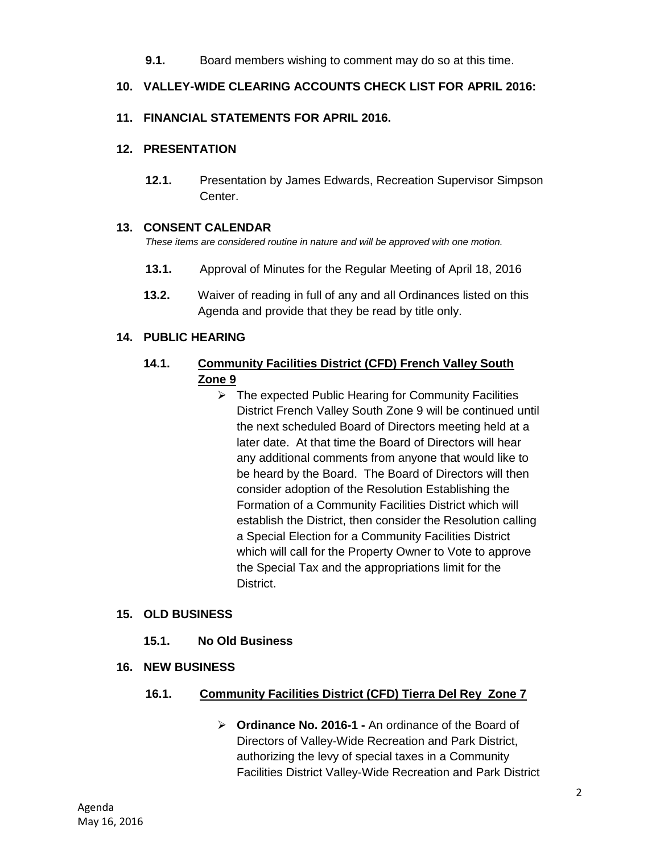**9.1.** Board members wishing to comment may do so at this time.

## **10. VALLEY-WIDE CLEARING ACCOUNTS CHECK LIST FOR APRIL 2016:**

### **11. FINANCIAL STATEMENTS FOR APRIL 2016.**

#### **12. PRESENTATION**

**12.1.** Presentation by James Edwards, Recreation Supervisor Simpson Center.

### **13. CONSENT CALENDAR**

*These items are considered routine in nature and will be approved with one motion.* 

- **13.1.** Approval of Minutes for the Regular Meeting of April 18, 2016
- **13.2.** Waiver of reading in full of any and all Ordinances listed on this Agenda and provide that they be read by title only.

### **14. PUBLIC HEARING**

# **14.1. Community Facilities District (CFD) French Valley South Zone 9**

 $\triangleright$  The expected Public Hearing for Community Facilities District French Valley South Zone 9 will be continued until the next scheduled Board of Directors meeting held at a later date. At that time the Board of Directors will hear any additional comments from anyone that would like to be heard by the Board. The Board of Directors will then consider adoption of the Resolution Establishing the Formation of a Community Facilities District which will establish the District, then consider the Resolution calling a Special Election for a Community Facilities District which will call for the Property Owner to Vote to approve the Special Tax and the appropriations limit for the District.

### **15. OLD BUSINESS**

- **15.1. No Old Business**
- **16. NEW BUSINESS**

### **16.1. Community Facilities District (CFD) Tierra Del Rey Zone 7**

 **Ordinance No. 2016-1 -** An ordinance of the Board of Directors of Valley-Wide Recreation and Park District, authorizing the levy of special taxes in a Community Facilities District Valley-Wide Recreation and Park District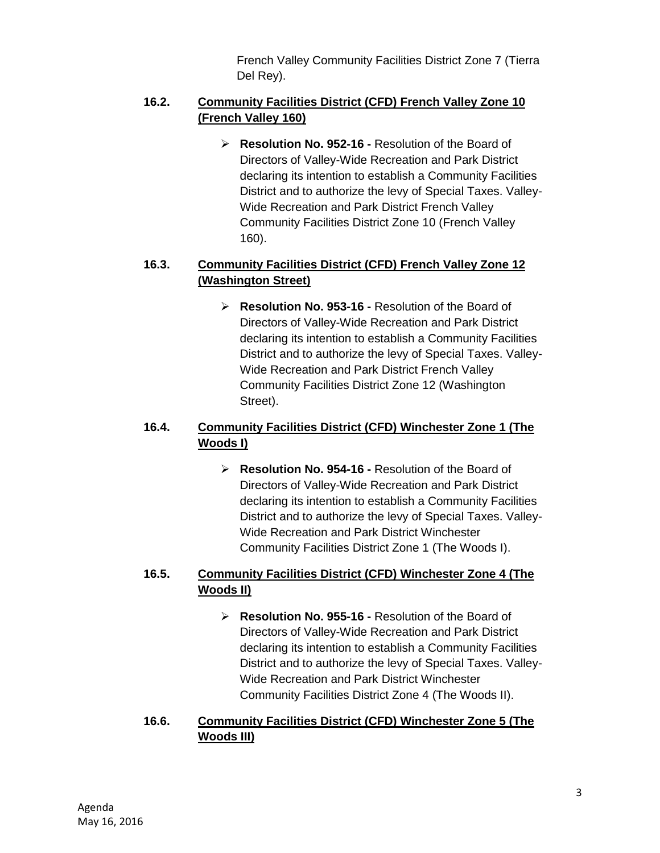French Valley Community Facilities District Zone 7 (Tierra Del Rey).

## **16.2. Community Facilities District (CFD) French Valley Zone 10 (French Valley 160)**

 **Resolution No. 952-16 -** Resolution of the Board of Directors of Valley-Wide Recreation and Park District declaring its intention to establish a Community Facilities District and to authorize the levy of Special Taxes. Valley-Wide Recreation and Park District French Valley Community Facilities District Zone 10 (French Valley 160).

# **16.3. Community Facilities District (CFD) French Valley Zone 12 (Washington Street)**

 **Resolution No. 953-16 -** Resolution of the Board of Directors of Valley-Wide Recreation and Park District declaring its intention to establish a Community Facilities District and to authorize the levy of Special Taxes. Valley-Wide Recreation and Park District French Valley Community Facilities District Zone 12 (Washington Street).

# **16.4. Community Facilities District (CFD) Winchester Zone 1 (The Woods I)**

 **Resolution No. 954-16 -** Resolution of the Board of Directors of Valley-Wide Recreation and Park District declaring its intention to establish a Community Facilities District and to authorize the levy of Special Taxes. Valley-Wide Recreation and Park District Winchester Community Facilities District Zone 1 (The Woods I).

# **16.5. Community Facilities District (CFD) Winchester Zone 4 (The Woods II)**

 **Resolution No. 955-16 -** Resolution of the Board of Directors of Valley-Wide Recreation and Park District declaring its intention to establish a Community Facilities District and to authorize the levy of Special Taxes. Valley-Wide Recreation and Park District Winchester Community Facilities District Zone 4 (The Woods II).

# **16.6. Community Facilities District (CFD) Winchester Zone 5 (The Woods III)**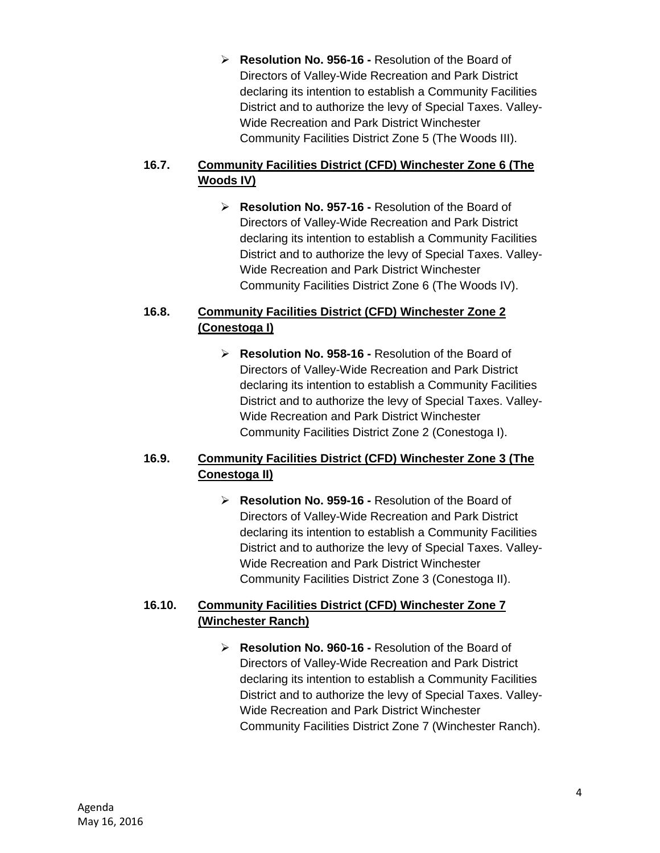**Resolution No. 956-16 -** Resolution of the Board of Directors of Valley-Wide Recreation and Park District declaring its intention to establish a Community Facilities District and to authorize the levy of Special Taxes. Valley-Wide Recreation and Park District Winchester Community Facilities District Zone 5 (The Woods III).

# **16.7. Community Facilities District (CFD) Winchester Zone 6 (The Woods IV)**

 **Resolution No. 957-16 -** Resolution of the Board of Directors of Valley-Wide Recreation and Park District declaring its intention to establish a Community Facilities District and to authorize the levy of Special Taxes. Valley-Wide Recreation and Park District Winchester Community Facilities District Zone 6 (The Woods IV).

# **16.8. Community Facilities District (CFD) Winchester Zone 2 (Conestoga I)**

 **Resolution No. 958-16 -** Resolution of the Board of Directors of Valley-Wide Recreation and Park District declaring its intention to establish a Community Facilities District and to authorize the levy of Special Taxes. Valley-Wide Recreation and Park District Winchester Community Facilities District Zone 2 (Conestoga I).

# **16.9. Community Facilities District (CFD) Winchester Zone 3 (The Conestoga II)**

 **Resolution No. 959-16 -** Resolution of the Board of Directors of Valley-Wide Recreation and Park District declaring its intention to establish a Community Facilities District and to authorize the levy of Special Taxes. Valley-Wide Recreation and Park District Winchester Community Facilities District Zone 3 (Conestoga II).

# **16.10. Community Facilities District (CFD) Winchester Zone 7 (Winchester Ranch)**

 **Resolution No. 960-16 -** Resolution of the Board of Directors of Valley-Wide Recreation and Park District declaring its intention to establish a Community Facilities District and to authorize the levy of Special Taxes. Valley-Wide Recreation and Park District Winchester Community Facilities District Zone 7 (Winchester Ranch).